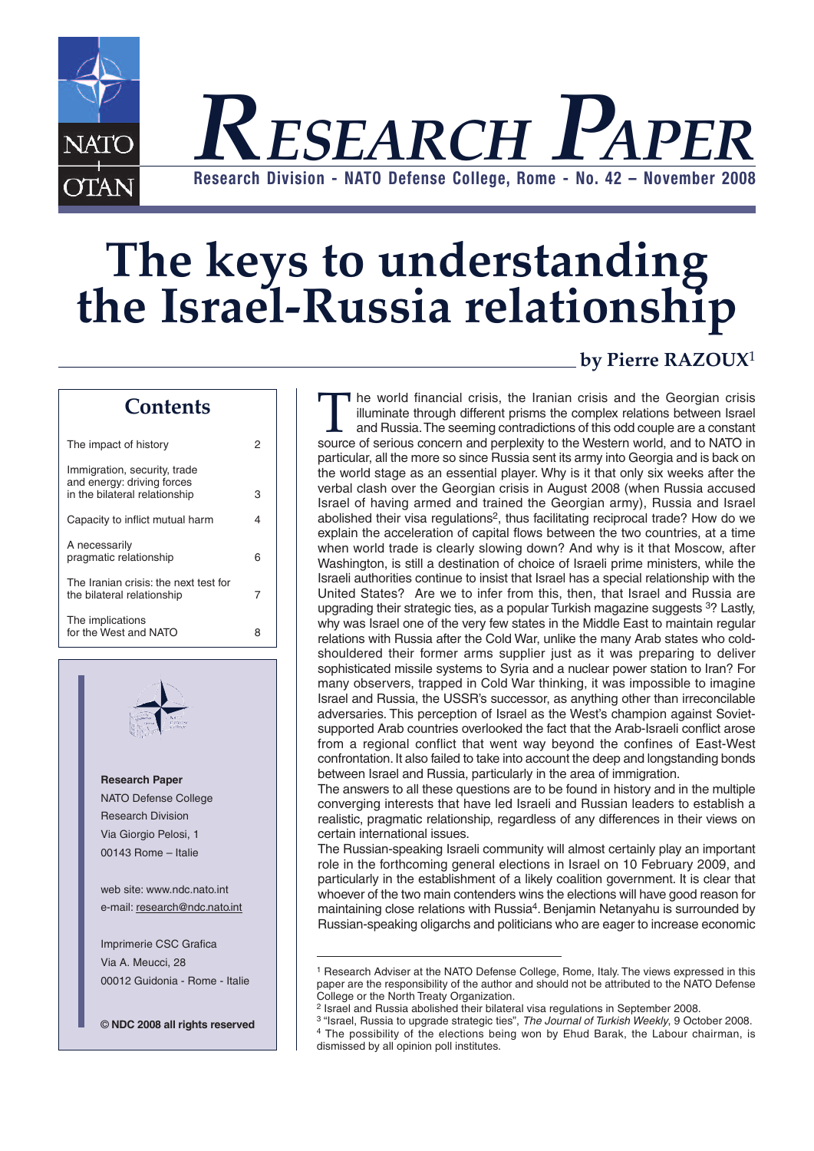

# **The keys to understanding the Israel-Russia relationship**

## **Contents**

| The impact of history                                                                       |   |
|---------------------------------------------------------------------------------------------|---|
| Immigration, security, trade<br>and energy: driving forces<br>in the bilateral relationship | з |
| Capacity to inflict mutual harm                                                             | 4 |
| A necessarily<br>pragmatic relationship                                                     | 6 |
| The Iranian crisis: the next test for<br>the bilateral relationship                         | 7 |
| The implications<br>for the West and NATO                                                   | я |



**Research Paper** NATO Defense College Research Division Via Giorgio Pelosi, 1 00143 Rome – Italie

web site: www.ndc.nato.int e-mail: research@ndc.nato.int

Imprimerie CSC Grafica Via A. Meucci, 28 00012 Guidonia - Rome - Italie

© **NDC 2008 all rights reserved**

## **by Pierre RAZOUX**<sup>1</sup>

The world financial crisis, the Iranian crisis and the Georgian crisis<br>illuminate through different prisms the complex relations between Israel<br>and Russia. The seeming contradictions of this odd couple are a constant<br>sourc illuminate through different prisms the complex relations between Israel and Russia.The seeming contradictions of this odd couple are a constant particular, all the more so since Russia sent its army into Georgia and is back on the world stage as an essential player. Why is it that only six weeks after the verbal clash over the Georgian crisis in August 2008 (when Russia accused Israel of having armed and trained the Georgian army), Russia and Israel abolished their visa regulations<sup>2</sup>, thus facilitating reciprocal trade? How do we explain the acceleration of capital flows between the two countries, at a time when world trade is clearly slowing down? And why is it that Moscow, after Washington, is still a destination of choice of Israeli prime ministers, while the Israeli authorities continue to insist that Israel has a special relationship with the United States? Are we to infer from this, then, that Israel and Russia are upgrading their strategic ties, as a popular Turkish magazine suggests <sup>3</sup>? Lastly, why was Israel one of the very few states in the Middle East to maintain regular relations with Russia after the Cold War, unlike the many Arab states who coldshouldered their former arms supplier just as it was preparing to deliver sophisticated missile systems to Syria and a nuclear power station to Iran? For many observers, trapped in Cold War thinking, it was impossible to imagine Israel and Russia, the USSR's successor, as anything other than irreconcilable adversaries. This perception of Israel as the West's champion against Sovietsupported Arab countries overlooked the fact that the Arab-Israeli conflict arose from a regional conflict that went way beyond the confines of East-West confrontation. It also failed to take into account the deep and longstanding bonds between Israel and Russia, particularly in the area of immigration.

The answers to all these questions are to be found in history and in the multiple converging interests that have led Israeli and Russian leaders to establish a realistic, pragmatic relationship, regardless of any differences in their views on certain international issues.

The Russian-speaking Israeli community will almost certainly play an important role in the forthcoming general elections in Israel on 10 February 2009, and particularly in the establishment of a likely coalition government. It is clear that whoever of the two main contenders wins the elections will have good reason for maintaining close relations with Russia4. Benjamin Netanyahu is surrounded by Russian-speaking oligarchs and politicians who are eager to increase economic

<sup>1</sup> Research Adviser at the NATO Defense College, Rome, Italy. The views expressed in this paper are the responsibility of the author and should not be attributed to the NATO Defense College or the North Treaty Organization.

<sup>2</sup> Israel and Russia abolished their bilateral visa regulations in September 2008.

<sup>3</sup> "Israel, Russia to upgrade strategic ties", *The Journal of Turkish Weekly*, 9 October 2008. <sup>4</sup> The possibility of the elections being won by Ehud Barak, the Labour chairman, is dismissed by all opinion poll institutes.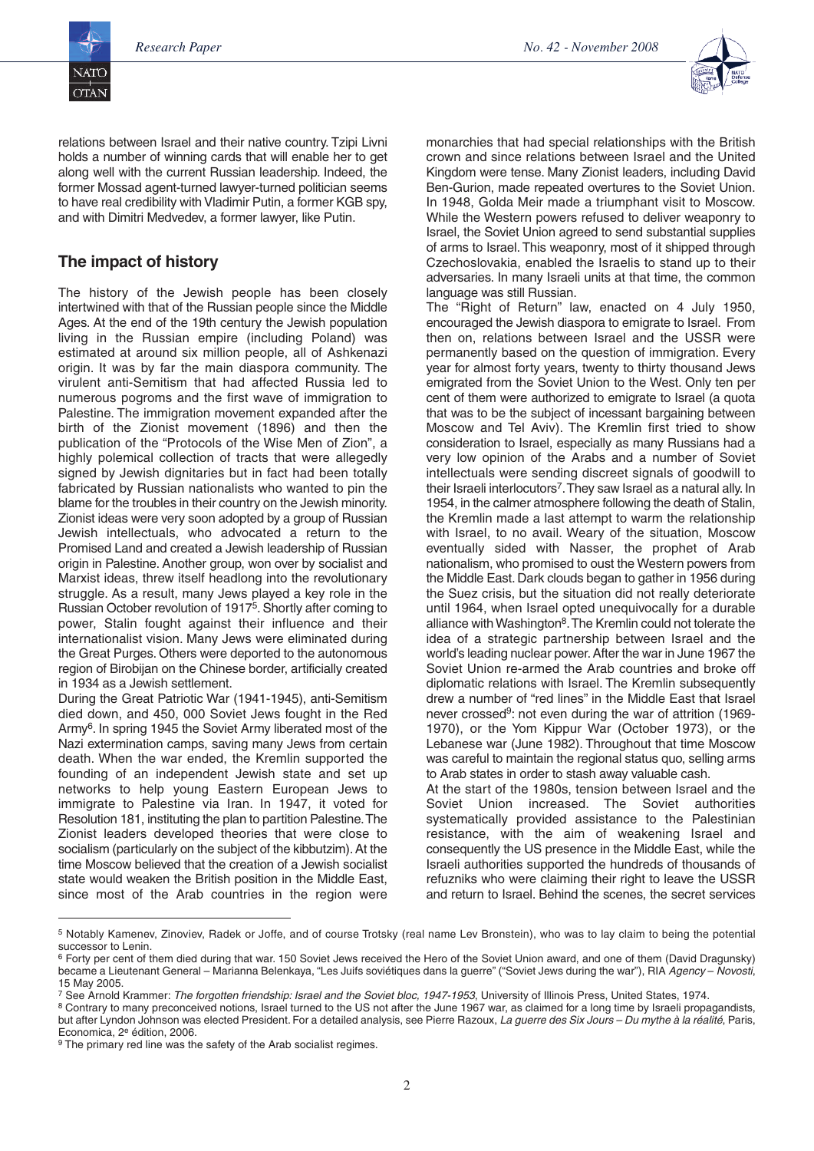

relations between Israel and their native country. Tzipi Livni holds a number of winning cards that will enable her to get along well with the current Russian leadership. Indeed, the former Mossad agent-turned lawyer-turned politician seems to have real credibility with Vladimir Putin, a former KGB spy, and with Dimitri Medvedev, a former lawyer, like Putin.

# **The impact of history**

The history of the Jewish people has been closely intertwined with that of the Russian people since the Middle Ages. At the end of the 19th century the Jewish population living in the Russian empire (including Poland) was estimated at around six million people, all of Ashkenazi origin. It was by far the main diaspora community. The virulent anti-Semitism that had affected Russia led to numerous pogroms and the first wave of immigration to Palestine. The immigration movement expanded after the birth of the Zionist movement (1896) and then the publication of the "Protocols of the Wise Men of Zion", a highly polemical collection of tracts that were allegedly signed by Jewish dignitaries but in fact had been totally fabricated by Russian nationalists who wanted to pin the blame for the troubles in their country on the Jewish minority. Zionist ideas were very soon adopted by a group of Russian Jewish intellectuals, who advocated a return to the Promised Land and created a Jewish leadership of Russian origin in Palestine. Another group, won over by socialist and Marxist ideas, threw itself headlong into the revolutionary struggle. As a result, many Jews played a key role in the Russian October revolution of 19175.Shortly after coming to power, Stalin fought against their influence and their internationalist vision. Many Jews were eliminated during the Great Purges. Others were deported to the autonomous region of Birobijan on the Chinese border, artificially created in 1934 as a Jewish settlement.

During the Great Patriotic War (1941-1945), anti-Semitism died down, and 450, 000 Soviet Jews fought in the Red Army6. In spring 1945 the Soviet Army liberated most of the Nazi extermination camps, saving many Jews from certain death. When the war ended, the Kremlin supported the founding of an independent Jewish state and set up networks to help young Eastern European Jews to immigrate to Palestine via Iran. In 1947, it voted for Resolution 181, instituting the plan to partition Palestine.The Zionist leaders developed theories that were close to socialism (particularly on the subject of the kibbutzim). At the time Moscow believed that the creation of a Jewish socialist state would weaken the British position in the Middle East, since most of the Arab countries in the region were

monarchies that had special relationships with the British crown and since relations between Israel and the United Kingdom were tense. Many Zionist leaders, including David Ben-Gurion, made repeated overtures to the Soviet Union. In 1948, Golda Meir made a triumphant visit to Moscow. While the Western powers refused to deliver weaponry to Israel, the Soviet Union agreed to send substantial supplies of arms to Israel. This weaponry, most of it shipped through Czechoslovakia, enabled the Israelis to stand up to their adversaries. In many Israeli units at that time, the common language was still Russian.

The "Right of Return" law, enacted on 4 July 1950, encouraged the Jewish diaspora to emigrate to Israel. From then on, relations between Israel and the USSR were permanently based on the question of immigration. Every year for almost forty years, twenty to thirty thousand Jews emigrated from the Soviet Union to the West. Only ten per cent of them were authorized to emigrate to Israel (a quota that was to be the subject of incessant bargaining between Moscow and Tel Aviv). The Kremlin first tried to show consideration to Israel, especially as many Russians had a very low opinion of the Arabs and a number of Soviet intellectuals were sending discreet signals of goodwill to their Israeli interlocutors7.They saw Israel as a natural ally. In 1954, in the calmer atmosphere following the death of Stalin, the Kremlin made a last attempt to warm the relationship with Israel, to no avail. Weary of the situation, Moscow eventually sided with Nasser, the prophet of Arab nationalism, who promised to oust the Western powers from the Middle East. Dark clouds began to gather in 1956 during the Suez crisis, but the situation did not really deteriorate until 1964, when Israel opted unequivocally for a durable alliance with Washington<sup>8</sup>. The Kremlin could not tolerate the idea of a strategic partnership between Israel and the world's leading nuclear power.After the war in June 1967 the Soviet Union re-armed the Arab countries and broke off diplomatic relations with Israel. The Kremlin subsequently drew a number of "red lines" in the Middle East that Israel never crossed<sup>9</sup>: not even during the war of attrition (1969-1970), or the Yom Kippur War (October 1973), or the Lebanese war (June 1982). Throughout that time Moscow was careful to maintain the regional status quo, selling arms to Arab states in order to stash away valuable cash.

At the start of the 1980s, tension between Israel and the Soviet Union increased. The Soviet authorities systematically provided assistance to the Palestinian resistance, with the aim of weakening Israel and consequently the US presence in the Middle East, while the Israeli authorities supported the hundreds of thousands of refuzniks who were claiming their right to leave the USSR and return to Israel. Behind the scenes, the secret services

<sup>5</sup> Notably Kamenev, Zinoviev, Radek or Joffe, and of course Trotsky (real name Lev Bronstein), who was to lay claim to being the potential successor to Lenin.

<sup>&</sup>lt;sup>6</sup> Forty per cent of them died during that war. 150 Soviet Jews received the Hero of the Soviet Union award, and one of them (David Dragunsky) became a Lieutenant General – Marianna Belenkaya, "Les Juifs soviétiques dans la guerre" ("Soviet Jews during the war"), RIA *Agency* – *Novosti*, 15 May 2005.

<sup>7</sup> See Arnold Krammer: *The forgotten friendship: Israel and the Soviet bloc, 1947-1953*, University of Illinois Press, United States, 1974.

<sup>&</sup>lt;sup>8</sup> Contrary to many preconceived notions, Israel turned to the US not after the June 1967 war, as claimed for a long time by Israeli propagandists, but after Lyndon Johnson was elected President. For a detailed analysis, see Pierre Razoux, *La guerre des Six Jours – Du mythe à la réalité*, Paris, Economica, 2e édition, 2006.

<sup>&</sup>lt;sup>9</sup> The primary red line was the safety of the Arab socialist regimes.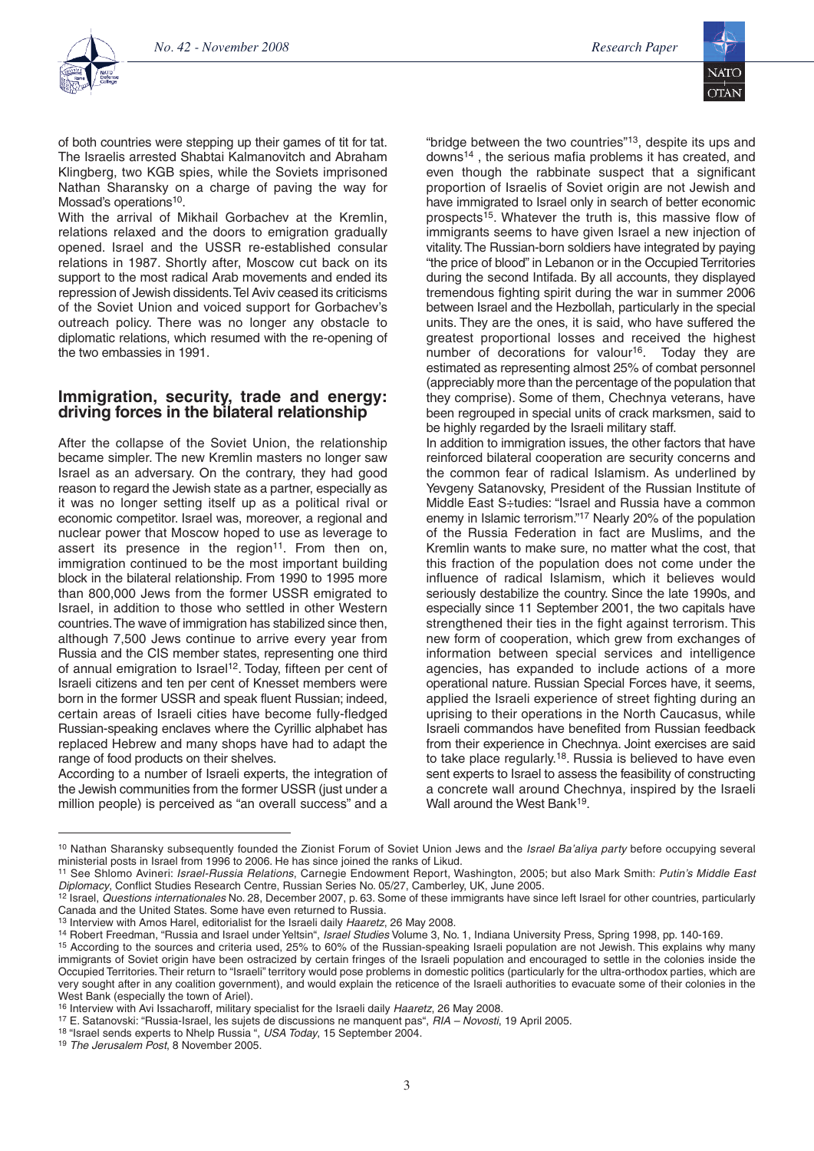

of both countries were stepping up their games of tit for tat. The Israelis arrested Shabtai Kalmanovitch and Abraham Klingberg, two KGB spies, while the Soviets imprisoned Nathan Sharansky on a charge of paving the way for Mossad's operations<sup>10</sup>.

With the arrival of Mikhail Gorbachev at the Kremlin, relations relaxed and the doors to emigration gradually opened. Israel and the USSR re-established consular relations in 1987. Shortly after, Moscow cut back on its support to the most radical Arab movements and ended its repression of Jewish dissidents.Tel Aviv ceased its criticisms of the Soviet Union and voiced support for Gorbachev's outreach policy. There was no longer any obstacle to diplomatic relations, which resumed with the re-opening of the two embassies in 1991.

#### **Immigration, security, trade and energy: driving forces in the bilateral relationship**

After the collapse of the Soviet Union, the relationship became simpler. The new Kremlin masters no longer saw Israel as an adversary. On the contrary, they had good reason to regard the Jewish state as a partner, especially as it was no longer setting itself up as a political rival or economic competitor. Israel was, moreover, a regional and nuclear power that Moscow hoped to use as leverage to assert its presence in the region<sup>11</sup>. From then on, immigration continued to be the most important building block in the bilateral relationship. From 1990 to 1995 more than 800,000 Jews from the former USSR emigrated to Israel, in addition to those who settled in other Western countries.The wave of immigration has stabilized since then, although 7,500 Jews continue to arrive every year from Russia and the CIS member states, representing one third of annual emigration to Israel<sup>12</sup>. Today, fifteen per cent of Israeli citizens and ten per cent of Knesset members were born in the former USSR and speak fluent Russian; indeed, certain areas of Israeli cities have become fully-fledged Russian-speaking enclaves where the Cyrillic alphabet has replaced Hebrew and many shops have had to adapt the range of food products on their shelves.

According to a number of Israeli experts, the integration of the Jewish communities from the former USSR (just under a million people) is perceived as "an overall success" and a "bridge between the two countries"<sup>13</sup>, despite its ups and downs14 , the serious mafia problems it has created, and even though the rabbinate suspect that a significant proportion of Israelis of Soviet origin are not Jewish and have immigrated to Israel only in search of better economic prospects15. Whatever the truth is, this massive flow of immigrants seems to have given Israel a new injection of vitality.The Russian-born soldiers have integrated by paying "the price of blood" in Lebanon or in the Occupied Territories during the second Intifada. By all accounts, they displayed tremendous fighting spirit during the war in summer 2006 between Israel and the Hezbollah, particularly in the special units. They are the ones, it is said, who have suffered the greatest proportional losses and received the highest number of decorations for valour<sup>16</sup>. Today they are estimated as representing almost 25% of combat personnel (appreciably more than the percentage of the population that they comprise). Some of them, Chechnya veterans, have been regrouped in special units of crack marksmen, said to be highly regarded by the Israeli military staff.

In addition to immigration issues, the other factors that have reinforced bilateral cooperation are security concerns and the common fear of radical Islamism. As underlined by Yevgeny Satanovsky, President of the Russian Institute of Middle East S÷tudies: "Israel and Russia have a common enemy in Islamic terrorism."17 Nearly 20% of the population of the Russia Federation in fact are Muslims, and the Kremlin wants to make sure, no matter what the cost, that this fraction of the population does not come under the influence of radical Islamism, which it believes would seriously destabilize the country. Since the late 1990s, and especially since 11 September 2001, the two capitals have strengthened their ties in the fight against terrorism. This new form of cooperation, which grew from exchanges of information between special services and intelligence agencies, has expanded to include actions of a more operational nature. Russian Special Forces have, it seems, applied the Israeli experience of street fighting during an uprising to their operations in the North Caucasus, while Israeli commandos have benefited from Russian feedback from their experience in Chechnya. Joint exercises are said to take place regularly.<sup>18</sup>. Russia is believed to have even sent experts to Israel to assess the feasibility of constructing a concrete wall around Chechnya, inspired by the Israeli Wall around the West Bank<sup>19</sup>.

<sup>10</sup> Nathan Sharansky subsequently founded the Zionist Forum of Soviet Union Jews and the *Israel Ba'aliya party* before occupying several ministerial posts in Israel from 1996 to 2006. He has since joined the ranks of Likud.

<sup>11</sup> See Shlomo Avineri: *Israel-Russia Relations*, Carnegie Endowment Report, Washington, 2005; but also Mark Smith: *Putin's Middle East Diplomacy*, Conflict Studies Research Centre, Russian Series No. 05/27, Camberley, UK, June 2005.

<sup>12</sup> Israel, *Questions internationales* No. 28, December 2007, p. 63. Some of these immigrants have since left Israel for other countries, particularly Canada and the United States. Some have even returned to Russia.

<sup>13</sup> Interview with Amos Harel, editorialist for the Israeli daily *Haaretz*, 26 May 2008.

<sup>14</sup> Robert Freedman, "Russia and Israel under Yeltsin", *Israel Studies* Volume 3, No. 1, Indiana University Press, Spring 1998, pp. 140-169.

<sup>15</sup> According to the sources and criteria used, 25% to 60% of the Russian-speaking Israeli population are not Jewish. This explains why many immigrants of Soviet origin have been ostracized by certain fringes of the Israeli population and encouraged to settle in the colonies inside the Occupied Territories.Their return to "Israeli" territory would pose problems in domestic politics (particularly for the ultra-orthodox parties, which are very sought after in any coalition government), and would explain the reticence of the Israeli authorities to evacuate some of their colonies in the West Bank (especially the town of Ariel).

<sup>16</sup> Interview with Avi Issacharoff, military specialist for the Israeli daily *Haaretz*, 26 May 2008.

<sup>17</sup> E. Satanovski: "Russia-Israel, les sujets de discussions ne manquent pas", *RIA – Novosti*, 19 April 2005.

<sup>18</sup> "Israel sends experts to Nhelp Russia ", *USA Today*, 15 September 2004.

<sup>19</sup> *The Jerusalem Post*, 8 November 2005.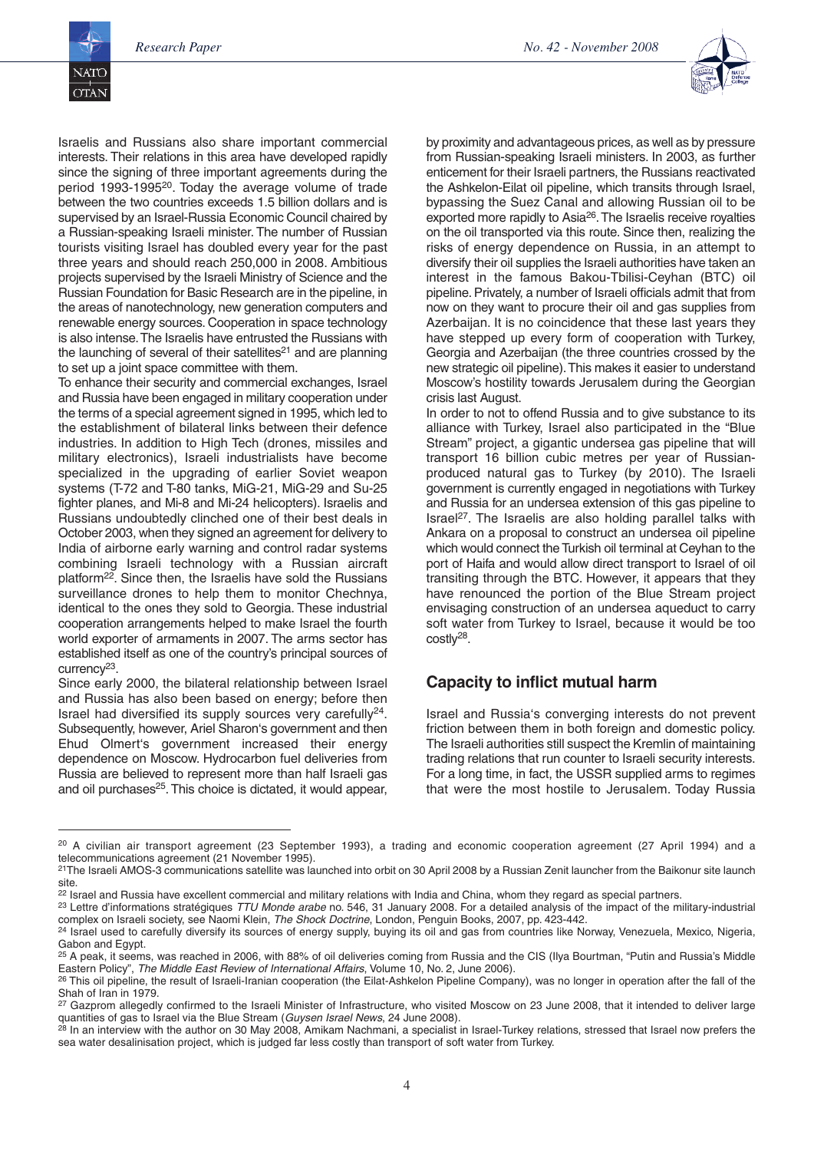

Israelis and Russians also share important commercial interests. Their relations in this area have developed rapidly since the signing of three important agreements during the period 1993-199520. Today the average volume of trade between the two countries exceeds 1.5 billion dollars and is supervised by an Israel-Russia Economic Council chaired by a Russian-speaking Israeli minister. The number of Russian tourists visiting Israel has doubled every year for the past three years and should reach 250,000 in 2008. Ambitious projects supervised by the Israeli Ministry of Science and the Russian Foundation for Basic Research are in the pipeline, in the areas of nanotechnology, new generation computers and renewable energy sources. Cooperation in space technology is also intense.The Israelis have entrusted the Russians with the launching of several of their satellites $21$  and are planning to set up a joint space committee with them.

To enhance their security and commercial exchanges, Israel and Russia have been engaged in military cooperation under the terms of a special agreement signed in 1995, which led to the establishment of bilateral links between their defence industries. In addition to High Tech (drones, missiles and military electronics), Israeli industrialists have become specialized in the upgrading of earlier Soviet weapon systems (T-72 and T-80 tanks, MiG-21, MiG-29 and Su-25 fighter planes, and Mi-8 and Mi-24 helicopters). Israelis and Russians undoubtedly clinched one of their best deals in October 2003, when they signed an agreement for delivery to India of airborne early warning and control radar systems combining Israeli technology with a Russian aircraft platform22. Since then, the Israelis have sold the Russians surveillance drones to help them to monitor Chechnya, identical to the ones they sold to Georgia. These industrial cooperation arrangements helped to make Israel the fourth world exporter of armaments in 2007. The arms sector has established itself as one of the country's principal sources of currency23.

Since early 2000, the bilateral relationship between Israel and Russia has also been based on energy; before then Israel had diversified its supply sources very carefully24. Subsequently, however, Ariel Sharon's government and then Ehud Olmert's government increased their energy dependence on Moscow. Hydrocarbon fuel deliveries from Russia are believed to represent more than half Israeli gas and oil purchases<sup>25</sup>. This choice is dictated, it would appear, by proximity and advantageous prices, as well as by pressure from Russian-speaking Israeli ministers. In 2003, as further enticement for their Israeli partners, the Russians reactivated the Ashkelon-Eilat oil pipeline, which transits through Israel, bypassing the Suez Canal and allowing Russian oil to be exported more rapidly to Asia26.The Israelis receive royalties on the oil transported via this route. Since then, realizing the risks of energy dependence on Russia, in an attempt to diversify their oil supplies the Israeli authorities have taken an interest in the famous Bakou-Tbilisi-Ceyhan (BTC) oil pipeline.Privately, a number of Israeli officials admit that from now on they want to procure their oil and gas supplies from Azerbaijan. It is no coincidence that these last years they have stepped up every form of cooperation with Turkey, Georgia and Azerbaijan (the three countries crossed by the new strategic oil pipeline).This makes it easier to understand Moscow's hostility towards Jerusalem during the Georgian crisis last August.

In order to not to offend Russia and to give substance to its alliance with Turkey, Israel also participated in the "Blue Stream" project, a gigantic undersea gas pipeline that will transport 16 billion cubic metres per year of Russianproduced natural gas to Turkey (by 2010). The Israeli government is currently engaged in negotiations with Turkey and Russia for an undersea extension of this gas pipeline to Israel 27. The Israelis are also holding parallel talks with Ankara on a proposal to construct an undersea oil pipeline which would connect the Turkish oil terminal at Ceyhan to the port of Haifa and would allow direct transport to Israel of oil transiting through the BTC. However, it appears that they have renounced the portion of the Blue Stream project envisaging construction of an undersea aqueduct to carry soft water from Turkey to Israel, because it would be too costly28.

### **Capacity to inflict mutual harm**

Israel and Russia's converging interests do not prevent friction between them in both foreign and domestic policy. The Israeli authorities still suspect the Kremlin of maintaining trading relations that run counter to Israeli security interests. For a long time, in fact, the USSR supplied arms to regimes that were the most hostile to Jerusalem. Today Russia

<sup>20</sup> A civilian air transport agreement (23 September 1993), a trading and economic cooperation agreement (27 April 1994) and a telecommunications agreement (21 November 1995).

<sup>&</sup>lt;sup>21</sup>The Israeli AMOS-3 communications satellite was launched into orbit on 30 April 2008 by a Russian Zenit launcher from the Baikonur site launch site.

<sup>&</sup>lt;sup>22</sup> Israel and Russia have excellent commercial and military relations with India and China, whom they regard as special partners.

<sup>23</sup> Lettre d'informations stratégiques *TTU Monde arabe* no. 546, 31 January 2008. For a detailed analysis of the impact of the military-industrial complex on Israeli society, see Naomi Klein, *The Shock Doctrine*, London, Penguin Books, 2007, pp. 423-442.

<sup>&</sup>lt;sup>24</sup> Israel used to carefully diversify its sources of energy supply, buying its oil and gas from countries like Norway, Venezuela, Mexico, Nigeria, Gabon and Egypt.

<sup>25</sup> A peak, it seems, was reached in 2006, with 88% of oil deliveries coming from Russia and the CIS (Ilya Bourtman, "Putin and Russia's Middle Eastern Policy", *The Middle East Review of International Affairs*, Volume 10, No. 2, June 2006).

<sup>&</sup>lt;sup>26</sup> This oil pipeline, the result of Israeli-Iranian cooperation (the Eilat-Ashkelon Pipeline Company), was no longer in operation after the fall of the Shah of Iran in 1979.

<sup>&</sup>lt;sup>27</sup> Gazprom allegedly confirmed to the Israeli Minister of Infrastructure, who visited Moscow on 23 June 2008, that it intended to deliver large quantities of gas to Israel via the Blue Stream (*Guysen Israel News*, 24 June 2008).

<sup>&</sup>lt;sup>28</sup> In an interview with the author on 30 May 2008, Amikam Nachmani, a specialist in Israel-Turkey relations, stressed that Israel now prefers the sea water desalinisation project, which is judged far less costly than transport of soft water from Turkey.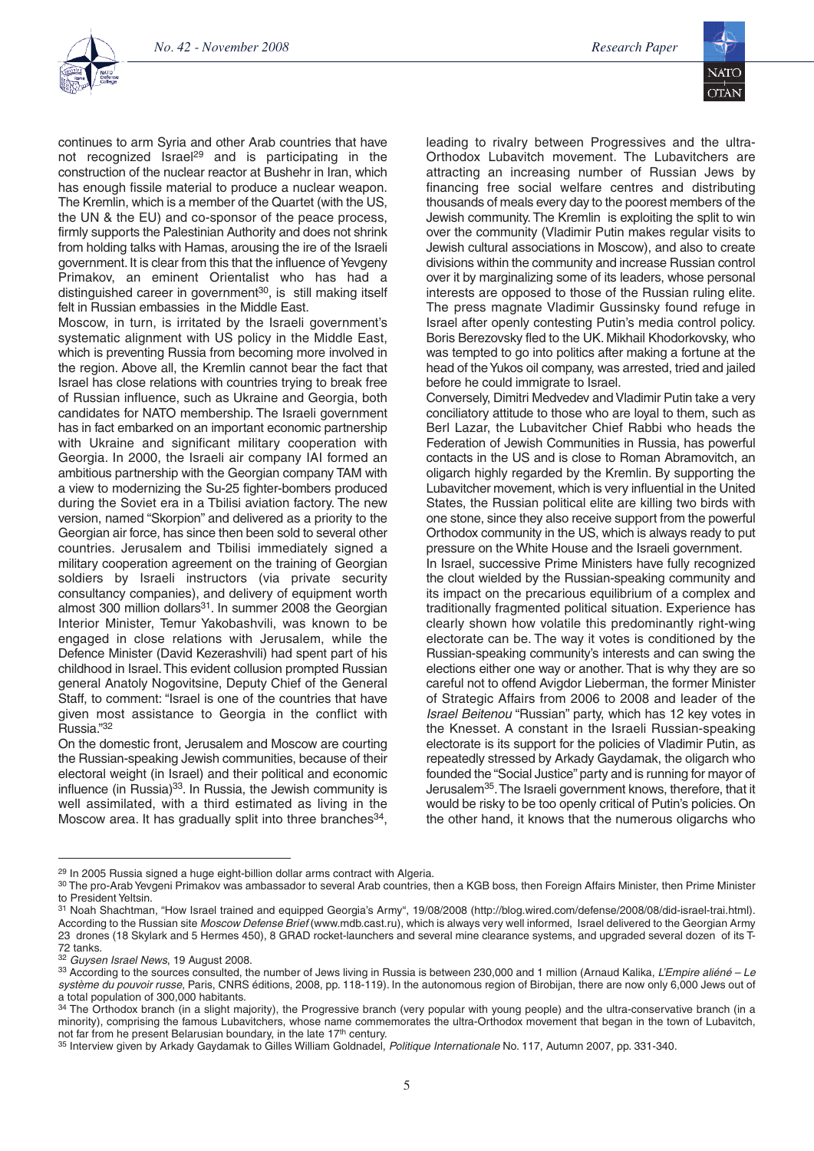

continues to arm Syria and other Arab countries that have not recognized Israel <sup>29</sup> and is participating in the construction of the nuclear reactor at Bushehr in Iran, which has enough fissile material to produce a nuclear weapon. The Kremlin, which is a member of the Quartet (with the US, the UN & the EU) and co-sponsor of the peace process, firmly supports the Palestinian Authority and does not shrink from holding talks with Hamas, arousing the ire of the Israeli government. It is clear from this that the influence of Yevgeny Primakov, an eminent Orientalist who has had a distinguished career in government<sup>30</sup>, is still making itself felt in Russian embassies in the Middle East.

Moscow, in turn, is irritated by the Israeli government's systematic alignment with US policy in the Middle East, which is preventing Russia from becoming more involved in the region. Above all, the Kremlin cannot bear the fact that Israel has close relations with countries trying to break free of Russian influence, such as Ukraine and Georgia, both candidates for NATO membership. The Israeli government has in fact embarked on an important economic partnership with Ukraine and significant military cooperation with Georgia. In 2000, the Israeli air company IAI formed an ambitious partnership with the Georgian company TAM with a view to modernizing the Su-25 fighter-bombers produced during the Soviet era in a Tbilisi aviation factory. The new version, named "Skorpion" and delivered as a priority to the Georgian air force, has since then been sold to several other countries. Jerusalem and Tbilisi immediately signed a military cooperation agreement on the training of Georgian soldiers by Israeli instructors (via private security consultancy companies), and delivery of equipment worth almost 300 million dollars $31$ . In summer 2008 the Georgian Interior Minister, Temur Yakobashvili, was known to be engaged in close relations with Jerusalem, while the Defence Minister (David Kezerashvili) had spent part of his childhood in Israel.This evident collusion prompted Russian general Anatoly Nogovitsine, Deputy Chief of the General Staff, to comment: "Israel is one of the countries that have given most assistance to Georgia in the conflict with Russia."32

On the domestic front, Jerusalem and Moscow are courting the Russian-speaking Jewish communities, because of their electoral weight (in Israel) and their political and economic influence (in Russia)<sup>33</sup>. In Russia, the Jewish community is well assimilated, with a third estimated as living in the Moscow area. It has gradually split into three branches<sup>34</sup>, leading to rivalry between Progressives and the ultra-Orthodox Lubavitch movement. The Lubavitchers are attracting an increasing number of Russian Jews by financing free social welfare centres and distributing thousands of meals every day to the poorest members of the Jewish community.The Kremlin is exploiting the split to win over the community (Vladimir Putin makes regular visits to Jewish cultural associations in Moscow), and also to create divisions within the community and increase Russian control over it by marginalizing some of its leaders, whose personal interests are opposed to those of the Russian ruling elite. The press magnate Vladimir Gussinsky found refuge in Israel after openly contesting Putin's media control policy. Boris Berezovsky fled to the UK. Mikhail Khodorkovsky, who was tempted to go into politics after making a fortune at the head of the Yukos oil company, was arrested, tried and jailed before he could immigrate to Israel.

Conversely, Dimitri Medvedev and Vladimir Putin take a very conciliatory attitude to those who are loyal to them, such as Berl Lazar, the Lubavitcher Chief Rabbi who heads the Federation of Jewish Communities in Russia, has powerful contacts in the US and is close to Roman Abramovitch, an oligarch highly regarded by the Kremlin. By supporting the Lubavitcher movement, which is very influential in the United States, the Russian political elite are killing two birds with one stone, since they also receive support from the powerful Orthodox community in the US, which is always ready to put pressure on the White House and the Israeli government.

In Israel, successive Prime Ministers have fully recognized the clout wielded by the Russian-speaking community and its impact on the precarious equilibrium of a complex and traditionally fragmented political situation. Experience has clearly shown how volatile this predominantly right-wing electorate can be. The way it votes is conditioned by the Russian-speaking community's interests and can swing the elections either one way or another. That is why they are so careful not to offend Avigdor Lieberman, the former Minister of Strategic Affairs from 2006 to 2008 and leader of the *Israel Beitenou* "Russian" party, which has 12 key votes in the Knesset. A constant in the Israeli Russian-speaking electorate is its support for the policies of Vladimir Putin, as repeatedly stressed by Arkady Gaydamak, the oligarch who founded the "Social Justice" party and is running for mayor of Jerusalem35.The Israeli government knows, therefore, that it would be risky to be too openly critical of Putin's policies. On the other hand, it knows that the numerous oligarchs who

<sup>&</sup>lt;sup>29</sup> In 2005 Russia signed a huge eight-billion dollar arms contract with Algeria.

<sup>30</sup> The pro-Arab Yevgeni Primakov was ambassador to several Arab countries, then a KGB boss, then Foreign Affairs Minister, then Prime Minister to President Yeltsin.

<sup>31</sup> Noah Shachtman, "How Israel trained and equipped Georgia's Army", 19/08/2008 (http://blog.wired.com/defense/2008/08/did-israel-trai.html). According to the Russian site *Moscow Defense Brief* (www.mdb.cast.ru), which is always very well informed, Israel delivered to the Georgian Army 23 drones (18 Skylark and 5 Hermes 450), 8 GRAD rocket-launchers and several mine clearance systems, and upgraded several dozen of its T-72 tanks.

<sup>32</sup> *Guysen Israel News*, 19 August 2008.

<sup>33</sup> According to the sources consulted, the number of Jews living in Russia is between 230,000 and 1 million (Arnaud Kalika, *L'Empire aliéné – Le système du pouvoir russe*, Paris, CNRS éditions, 2008, pp. 118-119). In the autonomous region of Birobijan, there are now only 6,000 Jews out of a total population of 300,000 habitants.

<sup>&</sup>lt;sup>34</sup> The Orthodox branch (in a slight majority), the Progressive branch (very popular with young people) and the ultra-conservative branch (in a minority), comprising the famous Lubavitchers, whose name commemorates the ultra-Orthodox movement that began in the town of Lubavitch, not far from he present Belarusian boundary, in the late 17<sup>th</sup> century.

<sup>35</sup> Interview given by Arkady Gaydamak to Gilles William Goldnadel, *Politique Internationale* No. 117, Autumn 2007, pp. 331-340.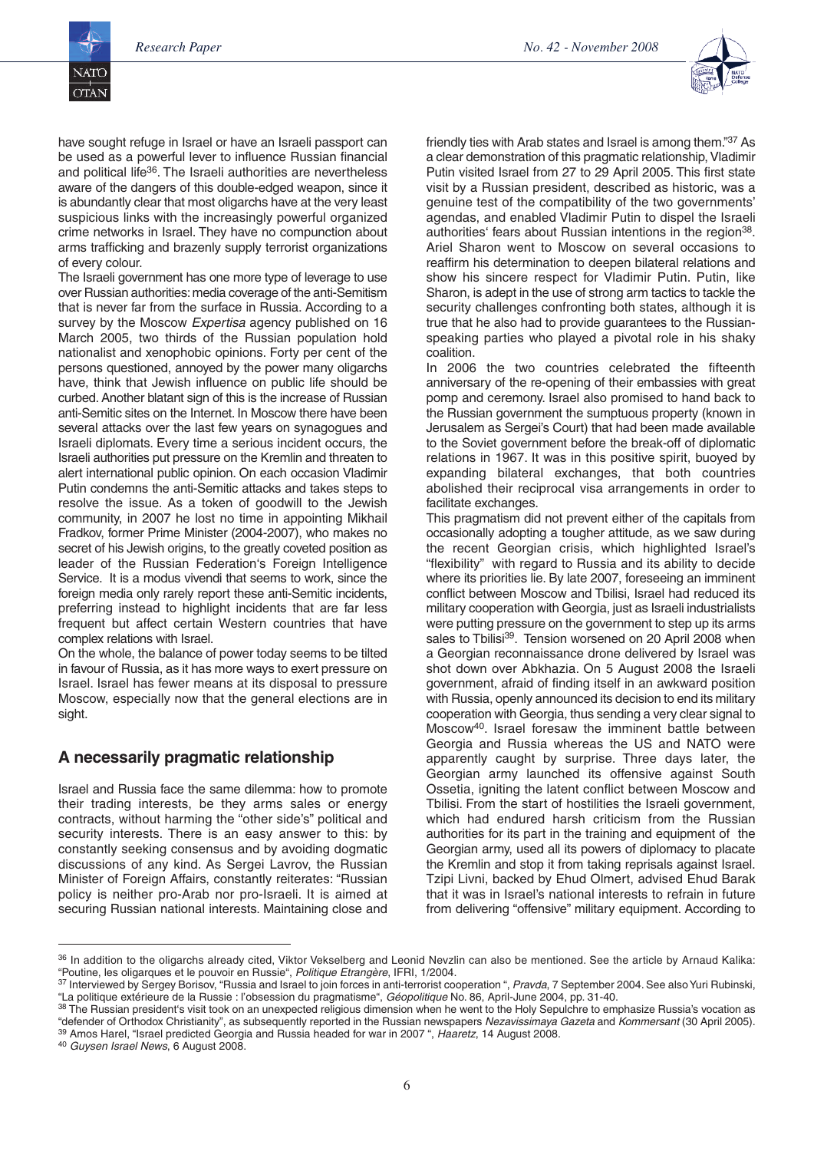

have sought refuge in Israel or have an Israeli passport can be used as a powerful lever to influence Russian financial and political life<sup>36</sup>. The Israeli authorities are nevertheless aware of the dangers of this double-edged weapon, since it is abundantly clear that most oligarchs have at the very least suspicious links with the increasingly powerful organized crime networks in Israel. They have no compunction about arms trafficking and brazenly supply terrorist organizations of every colour.

The Israeli government has one more type of leverage to use over Russian authorities:media coverage of the anti-Semitism that is never far from the surface in Russia. According to a survey by the Moscow *Expertisa* agency published on 16 March 2005, two thirds of the Russian population hold nationalist and xenophobic opinions. Forty per cent of the persons questioned, annoyed by the power many oligarchs have, think that Jewish influence on public life should be curbed.Another blatant sign of this is the increase of Russian anti-Semitic sites on the Internet. In Moscow there have been several attacks over the last few years on synagogues and Israeli diplomats. Every time a serious incident occurs, the Israeli authorities put pressure on the Kremlin and threaten to alert international public opinion. On each occasion Vladimir Putin condemns the anti-Semitic attacks and takes steps to resolve the issue. As a token of goodwill to the Jewish community, in 2007 he lost no time in appointing Mikhail Fradkov, former Prime Minister (2004-2007), who makes no secret of his Jewish origins, to the greatly coveted position as leader of the Russian Federation's Foreign Intelligence Service. It is a modus vivendi that seems to work, since the foreign media only rarely report these anti-Semitic incidents, preferring instead to highlight incidents that are far less frequent but affect certain Western countries that have complex relations with Israel.

On the whole, the balance of power today seems to be tilted in favour of Russia, as it has more ways to exert pressure on Israel. Israel has fewer means at its disposal to pressure Moscow, especially now that the general elections are in sight.

#### **A necessarily pragmatic relationship**

Israel and Russia face the same dilemma: how to promote their trading interests, be they arms sales or energy contracts, without harming the "other side's" political and security interests. There is an easy answer to this: by constantly seeking consensus and by avoiding dogmatic discussions of any kind. As Sergei Lavrov, the Russian Minister of Foreign Affairs, constantly reiterates: "Russian policy is neither pro-Arab nor pro-Israeli. It is aimed at securing Russian national interests. Maintaining close and friendly ties with Arab states and Israel is among them."37 As a clear demonstration of this pragmatic relationship,Vladimir Putin visited Israel from 27 to 29 April 2005. This first state visit by a Russian president, described as historic, was a genuine test of the compatibility of the two governments' agendas, and enabled Vladimir Putin to dispel the Israeli authorities' fears about Russian intentions in the region<sup>38</sup>. Ariel Sharon went to Moscow on several occasions to reaffirm his determination to deepen bilateral relations and show his sincere respect for Vladimir Putin. Putin, like Sharon, is adept in the use of strong arm tactics to tackle the security challenges confronting both states, although it is true that he also had to provide guarantees to the Russianspeaking parties who played a pivotal role in his shaky coalition.

In 2006 the two countries celebrated the fifteenth anniversary of the re-opening of their embassies with great pomp and ceremony. Israel also promised to hand back to the Russian government the sumptuous property (known in Jerusalem as Sergei's Court) that had been made available to the Soviet government before the break-off of diplomatic relations in 1967. It was in this positive spirit, buoyed by expanding bilateral exchanges, that both countries abolished their reciprocal visa arrangements in order to facilitate exchanges.

This pragmatism did not prevent either of the capitals from occasionally adopting a tougher attitude, as we saw during the recent Georgian crisis, which highlighted Israel's "flexibility" with regard to Russia and its ability to decide where its priorities lie. By late 2007, foreseeing an imminent conflict between Moscow and Tbilisi, Israel had reduced its military cooperation with Georgia, just as Israeli industrialists were putting pressure on the government to step up its arms sales to Tbilisi<sup>39</sup>. Tension worsened on 20 April 2008 when a Georgian reconnaissance drone delivered by Israel was shot down over Abkhazia. On 5 August 2008 the Israeli government, afraid of finding itself in an awkward position with Russia, openly announced its decision to end its military cooperation with Georgia, thus sending a very clear signal to Moscow40. Israel foresaw the imminent battle between Georgia and Russia whereas the US and NATO were apparently caught by surprise. Three days later, the Georgian army launched its offensive against South Ossetia, igniting the latent conflict between Moscow and Tbilisi. From the start of hostilities the Israeli government, which had endured harsh criticism from the Russian authorities for its part in the training and equipment of the Georgian army, used all its powers of diplomacy to placate the Kremlin and stop it from taking reprisals against Israel. Tzipi Livni, backed by Ehud Olmert, advised Ehud Barak that it was in Israel's national interests to refrain in future from delivering "offensive" military equipment. According to

<sup>36</sup> In addition to the oligarchs already cited, Viktor Vekselberg and Leonid Nevzlin can also be mentioned. See the article by Arnaud Kalika: "Poutine, les oligarques et le pouvoir en Russie", *Politique Etrangère*, IFRI, 1/2004.

<sup>&</sup>lt;sup>37</sup> Interviewed by Sergey Borisov, "Russia and Israel to join forces in anti-terrorist cooperation ", *Pravda*, 7 September 2004. See also Yuri Rubinski, "La politique extérieure de la Russie : l'obsession du pragmatisme", *Géopolitique* No. 86, April-June 2004, pp. 31-40.

<sup>&</sup>lt;sup>38</sup> The Russian president's visit took on an unexpected religious dimension when he went to the Holy Sepulchre to emphasize Russia's vocation as "defender of Orthodox Christianity", as subsequently reported in the Russian newspapers *Nezavissimaya Gazeta* and *Kommersant* (30 April 2005). <sup>39</sup> Amos Harel, "Israel predicted Georgia and Russia headed for war in 2007 ", *Haaretz*, 14 August 2008.

<sup>40</sup> *Guysen Israel News*, 6 August 2008.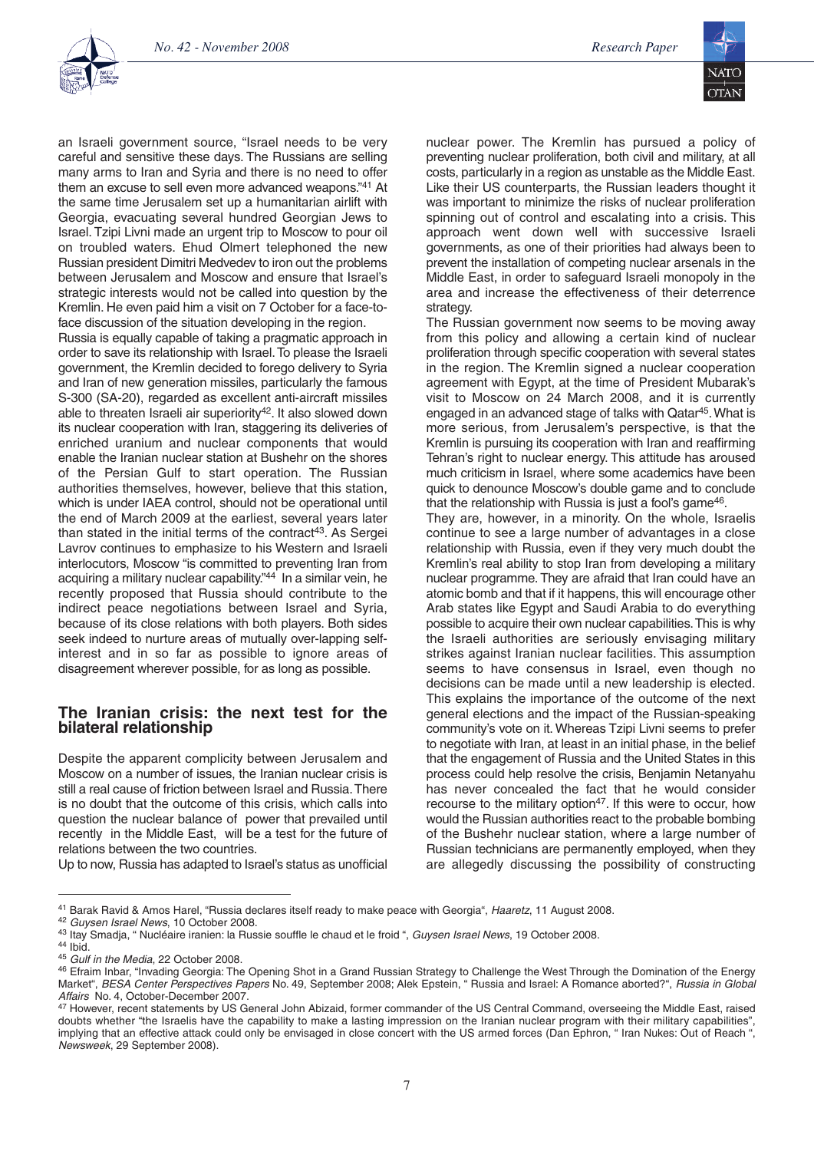

an Israeli government source, "Israel needs to be very careful and sensitive these days. The Russians are selling many arms to Iran and Syria and there is no need to offer them an excuse to sell even more advanced weapons."41 At the same time Jerusalem set up a humanitarian airlift with Georgia, evacuating several hundred Georgian Jews to Israel. Tzipi Livni made an urgent trip to Moscow to pour oil on troubled waters. Ehud Olmert telephoned the new Russian president Dimitri Medvedev to iron out the problems between Jerusalem and Moscow and ensure that Israel's strategic interests would not be called into question by the Kremlin. He even paid him a visit on 7 October for a face-toface discussion of the situation developing in the region.

Russia is equally capable of taking a pragmatic approach in order to save its relationship with Israel.To please the Israeli government, the Kremlin decided to forego delivery to Syria and Iran of new generation missiles, particularly the famous S-300 (SA-20), regarded as excellent anti-aircraft missiles able to threaten Israeli air superiority<sup>42</sup>. It also slowed down its nuclear cooperation with Iran, staggering its deliveries of enriched uranium and nuclear components that would enable the Iranian nuclear station at Bushehr on the shores of the Persian Gulf to start operation. The Russian authorities themselves, however, believe that this station, which is under IAEA control, should not be operational until the end of March 2009 at the earliest, several years later than stated in the initial terms of the contract 43. As Sergei Lavrov continues to emphasize to his Western and Israeli interlocutors, Moscow "is committed to preventing Iran from acquiring a military nuclear capability."44 In a similar vein, he recently proposed that Russia should contribute to the indirect peace negotiations between Israel and Syria, because of its close relations with both players. Both sides seek indeed to nurture areas of mutually over-lapping selfinterest and in so far as possible to ignore areas of disagreement wherever possible, for as long as possible.

#### **The Iranian crisis: the next test for the bilateral relationship**

Despite the apparent complicity between Jerusalem and Moscow on a number of issues, the Iranian nuclear crisis is still a real cause of friction between Israel and Russia.There is no doubt that the outcome of this crisis, which calls into question the nuclear balance of power that prevailed until recently in the Middle East, will be a test for the future of relations between the two countries.

Up to now, Russia has adapted to Israel's status as unofficial

nuclear power. The Kremlin has pursued a policy of preventing nuclear proliferation, both civil and military, at all costs, particularly in a region as unstable as the Middle East. Like their US counterparts, the Russian leaders thought it was important to minimize the risks of nuclear proliferation spinning out of control and escalating into a crisis. This approach went down well with successive Israeli governments, as one of their priorities had always been to prevent the installation of competing nuclear arsenals in the Middle East, in order to safeguard Israeli monopoly in the area and increase the effectiveness of their deterrence strategy.

The Russian government now seems to be moving away from this policy and allowing a certain kind of nuclear proliferation through specific cooperation with several states in the region. The Kremlin signed a nuclear cooperation agreement with Egypt, at the time of President Mubarak's visit to Moscow on 24 March 2008, and it is currently engaged in an advanced stage of talks with Qatar<sup>45</sup>. What is more serious, from Jerusalem's perspective, is that the Kremlin is pursuing its cooperation with Iran and reaffirming Tehran's right to nuclear energy. This attitude has aroused much criticism in Israel, where some academics have been quick to denounce Moscow's double game and to conclude that the relationship with Russia is just a fool's game<sup>46</sup>.

They are, however, in a minority. On the whole, Israelis continue to see a large number of advantages in a close relationship with Russia, even if they very much doubt the Kremlin's real ability to stop Iran from developing a military nuclear programme.They are afraid that Iran could have an atomic bomb and that if it happens, this will encourage other Arab states like Egypt and Saudi Arabia to do everything possible to acquire their own nuclear capabilities.This is why the Israeli authorities are seriously envisaging military strikes against Iranian nuclear facilities. This assumption seems to have consensus in Israel, even though no decisions can be made until a new leadership is elected. This explains the importance of the outcome of the next general elections and the impact of the Russian-speaking community's vote on it. Whereas Tzipi Livni seems to prefer to negotiate with Iran, at least in an initial phase, in the belief that the engagement of Russia and the United States in this process could help resolve the crisis, Benjamin Netanyahu has never concealed the fact that he would consider recourse to the military option<sup>47</sup>. If this were to occur, how would the Russian authorities react to the probable bombing of the Bushehr nuclear station, where a large number of Russian technicians are permanently employed, when they are allegedly discussing the possibility of constructing

<sup>42</sup> *Guysen Israel News*, 10 October 2008.

<sup>41</sup> Barak Ravid & Amos Harel, "Russia declares itself ready to make peace with Georgia", *Haaretz*, 11 August 2008.

<sup>43</sup> Itay Smadja, " Nucléaire iranien: la Russie souffle le chaud et le froid ", *Guysen Israel News*, 19 October 2008. <sup>44</sup> Ibid.

<sup>45</sup> *Gulf in the Media*, 22 October 2008.

<sup>46</sup> Efraim Inbar, "Invading Georgia: The Opening Shot in a Grand Russian Strategy to Challenge the West Through the Domination of the Energy Market", *BESA Center Perspectives Papers* No. 49, September 2008; Alek Epstein, " Russia and Israel: A Romance aborted?", *Russia in Global Affairs* No. 4, October-December 2007.

<sup>47</sup> However, recent statements by US General John Abizaid, former commander of the US Central Command, overseeing the Middle East, raised doubts whether "the Israelis have the capability to make a lasting impression on the Iranian nuclear program with their military capabilities", implying that an effective attack could only be envisaged in close concert with the US armed forces (Dan Ephron, " Iran Nukes: Out of Reach ", *Newsweek*, 29 September 2008).